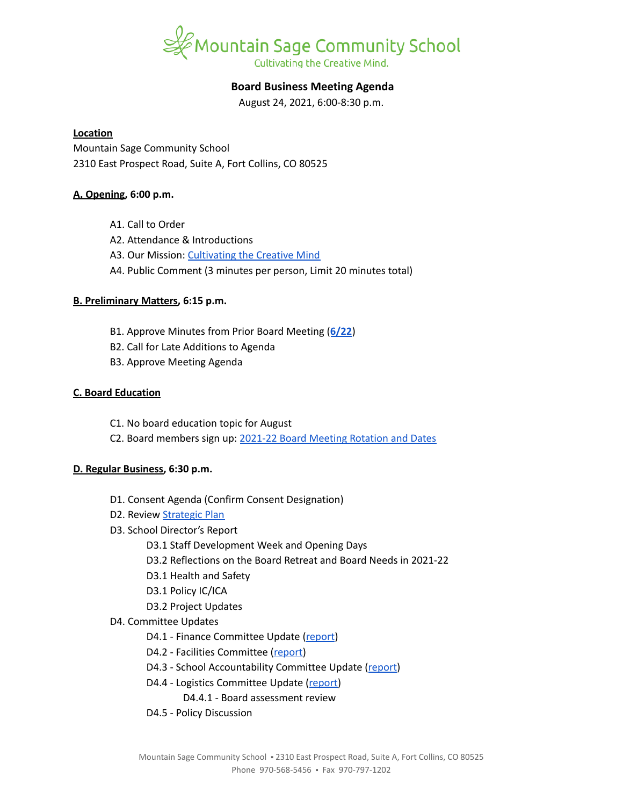

# **Board Business Meeting Agenda**

August 24, 2021, 6:00-8:30 p.m.

#### **Location**

Mountain Sage Community School 2310 East Prospect Road, Suite A, Fort Collins, CO 80525

## **A. Opening, 6:00 p.m.**

- A1. Call to Order
- A2. Attendance & Introductions
- A3. Our Mission: [Cultivating](https://www.mountainsage.org/about-us/mission-and-vision/) the Creative Mind
- A4. Public Comment (3 minutes per person, Limit 20 minutes total)

## **B. Preliminary Matters, 6:15 p.m.**

- B1. Approve Minutes from Prior Board Meeting (**[6/22](https://docs.google.com/document/d/1dj5F-UdrUiHSw_VzokWLcx6c_ZEpC3-8_k7Jkz9BSq8/edit?usp=sharing)**)
- B2. Call for Late Additions to Agenda
- B3. Approve Meeting Agenda

## **C. Board Education**

- C1. No board education topic for August
- C2. Board members sign up: 2021-22 Board Meeting [Rotation](https://docs.google.com/spreadsheets/d/1PuD68cEx5_6meDde-CYMAhzE72YI3h44im0U24Vb0GE/edit?usp=sharing) and Dates

## **D. Regular Business, 6:30 p.m.**

- D1. Consent Agenda (Confirm Consent Designation)
- D2. Review **[Strategic](https://docs.google.com/spreadsheets/d/1RR7z4DQ0Oq8Z29iw-TRpzfxcoDyemB4IFJY4Hpq8Y_k/edit?usp=sharing) Plan**
- D3. School Director's Report
	- D3.1 Staff Development Week and Opening Days
	- D3.2 Reflections on the Board Retreat and Board Needs in 2021-22
	- D3.1 Health and Safety
	- D3.1 Policy IC/ICA
	- D3.2 Project Updates
- D4. Committee Updates
	- D4.1 Finance Committee Update ([report](https://docs.google.com/document/d/1GwoCqvIn9Ds9wQTt7NQiaTCCPB8a9DhYeVe3znFo48U))
	- D4.2 Facilities Committee [\(report\)](https://docs.google.com/document/d/1GfUVc5VATx41O0tTZkQZbEbfTH7OrDQ7g7n-jLgymJE)
	- D4.3 School Accountability Committee Update [\(report](https://docs.google.com/document/d/1KRxZaz3js-Rn0RM_ZfCsHITvV_xzR6H6BXHkhEu_ueM/edit?usp=sharing))
	- D4.4 Logistics Committee Update ([report](https://docs.google.com/document/d/1zpHzmWB86TIEpi2tQV98tY10xiclpsOBiSo0HjtPwk0/edit?usp=sharing))
		- D4.4.1 Board assessment review
	- D4.5 Policy Discussion